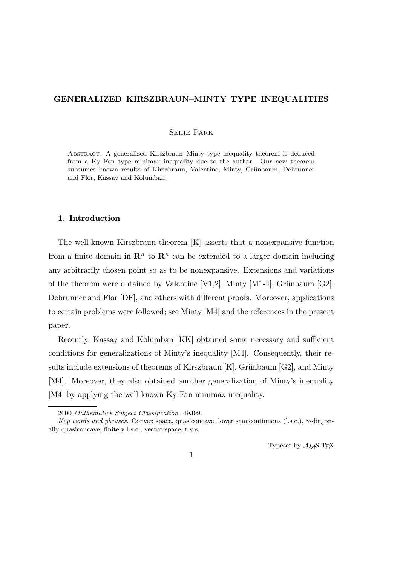# **GENERALIZED KIRSZBRAUN–MINTY TYPE INEQUALITIES**

## Sehie Park

Abstract. A generalized Kirszbraun–Minty type inequality theorem is deduced from a Ky Fan type minimax inequality due to the author. Our new theorem subsumes known results of Kirszbraun, Valentine, Minty, Grünbaum, Debrunner and Flor, Kassay and Kolumban.

#### **1. Introduction**

The well-known Kirszbraun theorem [K] asserts that a nonexpansive function from a finite domain in  $\mathbb{R}^n$  to  $\mathbb{R}^n$  can be extended to a larger domain including any arbitrarily chosen point so as to be nonexpansive. Extensions and variations of the theorem were obtained by Valentine  $[V1,2]$ , Minty  $[M1-4]$ , Grünbaum  $[G2]$ , Debrunner and Flor [DF], and others with different proofs. Moreover, applications to certain problems were followed; see Minty [M4] and the references in the present paper.

Recently, Kassay and Kolumban [KK] obtained some necessary and sufficient conditions for generalizations of Minty's inequality [M4]. Consequently, their results include extensions of theorems of Kirszbraun  $[K]$ , Grünbaum  $[G2]$ , and Minty [M4]. Moreover, they also obtained another generalization of Minty's inequality [M4] by applying the well-known Ky Fan minimax inequality.

Typeset by  $A_{\mathcal{M}}S$ -T<sub>E</sub>X

<sup>2000</sup> *Mathematics Subject Classification*. 49J99.

*Key words and phrases*. Convex space, quasiconcave, lower semicontinuous (l.s.c.), *γ*-diagonally quasiconcave, finitely l.s.c., vector space, t.v.s.

<sup>1</sup>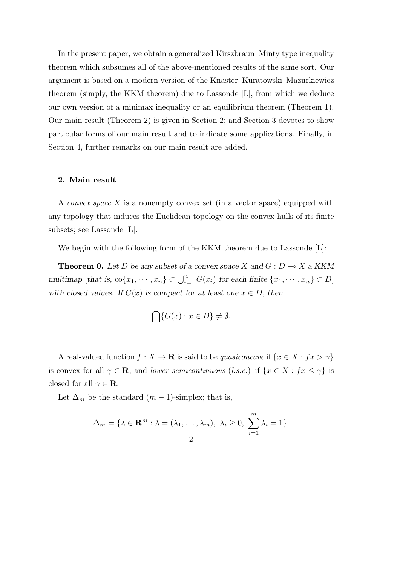In the present paper, we obtain a generalized Kirszbraun–Minty type inequality theorem which subsumes all of the above-mentioned results of the same sort. Our argument is based on a modern version of the Knaster–Kuratowski–Mazurkiewicz theorem (simply, the KKM theorem) due to Lassonde [L], from which we deduce our own version of a minimax inequality or an equilibrium theorem (Theorem 1). Our main result (Theorem 2) is given in Section 2; and Section 3 devotes to show particular forms of our main result and to indicate some applications. Finally, in Section 4, further remarks on our main result are added.

# **2. Main result**

A *convex space X* is a nonempty convex set (in a vector space) equipped with any topology that induces the Euclidean topology on the convex hulls of its finite subsets; see Lassonde [L].

We begin with the following form of the KKM theorem due to Lassonde [L]:

**Theorem 0.** Let *D* be any subset of a convex space *X* and  $G: D \to X$  a KKM multimap [that is,  $\text{co}\{x_1, \dots, x_n\} \subset \bigcup_{i=1}^n G(x_i)$  for each finite  $\{x_1, \dots, x_n\} \subset D$ ] *with closed values. If*  $G(x)$  *is compact for at least one*  $x \in D$ *, then* 

$$
\bigcap\{G(x):x\in D\}\neq\emptyset.
$$

A real-valued function  $f: X \to \mathbf{R}$  is said to be *quasiconcave* if  $\{x \in X : fx > \gamma\}$ is convex for all  $\gamma \in \mathbf{R}$ ; and *lower semicontinuous* (*l.s.c.*) if  $\{x \in X : fx \leq \gamma\}$  is closed for all  $\gamma \in \mathbf{R}$ .

Let  $\Delta_m$  be the standard  $(m-1)$ -simplex; that is,

$$
\Delta_m = \{ \lambda \in \mathbf{R}^m : \lambda = (\lambda_1, \dots, \lambda_m), \lambda_i \ge 0, \sum_{i=1}^m \lambda_i = 1 \}.
$$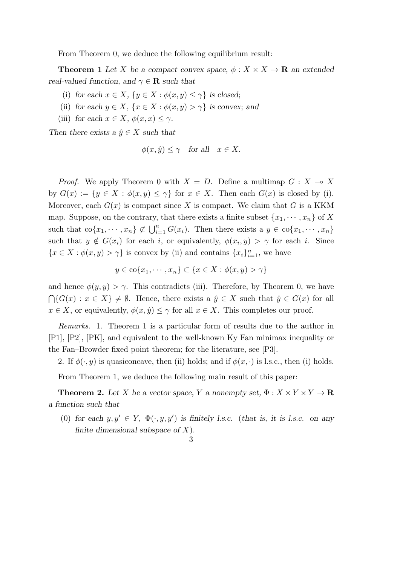From Theorem 0, we deduce the following equilibrium result:

**Theorem 1** Let *X* be a compact convex space,  $\phi: X \times X \to \mathbf{R}$  an extended *real-valued function, and*  $\gamma \in \mathbf{R}$  *such that* 

- (i) for each  $x \in X$ ,  $\{y \in X : \phi(x, y) \leq \gamma\}$  is closed;
- (ii) *for each*  $y \in X$ ,  $\{x \in X : \phi(x, y) > \gamma\}$  *is convex*; *and*
- (iii) *for each*  $x \in X$ *,*  $\phi(x, x) \leq \gamma$ *.*

*Then there exists a*  $\hat{y} \in X$  *such that* 

$$
\phi(x, \hat{y}) \leq \gamma
$$
 for all  $x \in X$ .

*Proof.* We apply Theorem 0 with  $X = D$ . Define a multimap  $G: X \to X$ by  $G(x) := \{y \in X : \phi(x, y) \leq \gamma\}$  for  $x \in X$ . Then each  $G(x)$  is closed by (i). Moreover, each  $G(x)$  is compact since X is compact. We claim that G is a KKM map. Suppose, on the contrary, that there exists a finite subset  $\{x_1, \dots, x_n\}$  of X such that  $\text{co}\{x_1, \dots, x_n\} \not\subset \bigcup_{i=1}^n G(x_i)$ . Then there exists a  $y \in \text{co}\{x_1, \dots, x_n\}$ such that  $y \notin G(x_i)$  for each *i*, or equivalently,  $\phi(x_i, y) > \gamma$  for each *i*. Since  ${x \in X : \phi(x, y) > \gamma}$  is convex by (ii) and contains  ${x_i}_{i=1}^n$ , we have

$$
y \in \text{co}\{x_1, \cdots, x_n\} \subset \{x \in X : \phi(x, y) > \gamma\}
$$

and hence  $\phi(y, y) > \gamma$ . This contradicts (iii). Therefore, by Theorem 0, we have  $\bigcap \{G(x) : x \in X\}$  ≠  $\emptyset$ . Hence, there exists a  $\hat{y} \in X$  such that  $\hat{y} \in G(x)$  for all  $x \in X$ , or equivalently,  $\phi(x, \hat{y}) \leq \gamma$  for all  $x \in X$ . This completes our proof.

*Remarks.* 1. Theorem 1 is a particular form of results due to the author in [P1], [P2], [PK], and equivalent to the well-known Ky Fan minimax inequality or the Fan–Browder fixed point theorem; for the literature, see [P3].

2. If  $\phi(\cdot, y)$  is quasiconcave, then (ii) holds; and if  $\phi(x, \cdot)$  is l.s.c., then (i) holds.

From Theorem 1, we deduce the following main result of this paper:

**Theorem 2.** Let *X* be a vector space, *Y* a nonempty set,  $\Phi : X \times Y \times Y \to \mathbb{R}$ *a function such that*

(0) for each  $y, y' \in Y$ ,  $\Phi(\cdot, y, y')$  is finitely l.s.c. (that is, it is l.s.c. on any *finite dimensional subspace of X*)*.*

#### 3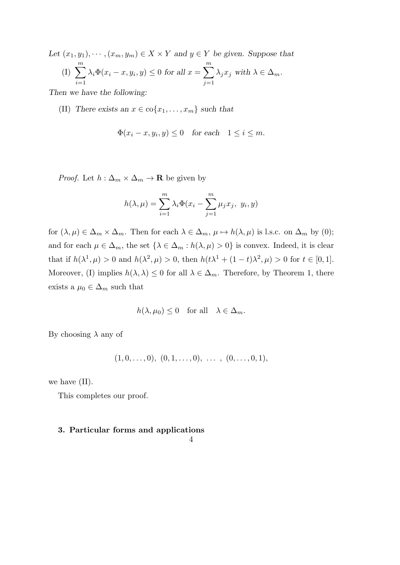*Let*  $(x_1, y_1), \cdots, (x_m, y_m) \in X \times Y$  and  $y \in Y$  be given. Suppose that  $(I) \sum_{i=1}^{m}$ *i*=1  $\lambda_i \Phi(x_i - x, y_i, y) \leq 0$  *for all*  $x = \sum_{i=1}^{m}$ *j*=1  $\lambda_j x_j$  with  $\lambda \in \Delta_m$ .

*Then we have the following:*

(II) *There exists an*  $x \in \text{co}\{x_1, \ldots, x_m\}$  *such that* 

$$
\Phi(x_i - x, y_i, y) \le 0 \quad \text{for each} \quad 1 \le i \le m.
$$

*Proof.* Let  $h: \Delta_m \times \Delta_m \to \mathbf{R}$  be given by

$$
h(\lambda, \mu) = \sum_{i=1}^{m} \lambda_i \Phi(x_i - \sum_{j=1}^{m} \mu_j x_j, y_i, y)
$$

for  $(\lambda, \mu) \in \Delta_m \times \Delta_m$ . Then for each  $\lambda \in \Delta_m$ ,  $\mu \mapsto h(\lambda, \mu)$  is l.s.c. on  $\Delta_m$  by (0); and for each  $\mu \in \Delta_m$ , the set  $\{\lambda \in \Delta_m : h(\lambda, \mu) > 0\}$  is convex. Indeed, it is clear that if  $h(\lambda^1, \mu) > 0$  and  $h(\lambda^2, \mu) > 0$ , then  $h(t\lambda^1 + (1-t)\lambda^2, \mu) > 0$  for  $t \in [0, 1]$ . Moreover, (I) implies  $h(\lambda, \lambda) \leq 0$  for all  $\lambda \in \Delta_m$ . Therefore, by Theorem 1, there exists a  $\mu_0 \in \Delta_m$  such that

$$
h(\lambda, \mu_0) \leq 0
$$
 for all  $\lambda \in \Delta_m$ .

By choosing *λ* any of

$$
(1,0,\ldots,0), (0,1,\ldots,0), \ldots, (0,\ldots,0,1),
$$

we have (II).

This completes our proof.

## **3. Particular forms and applications**

## 4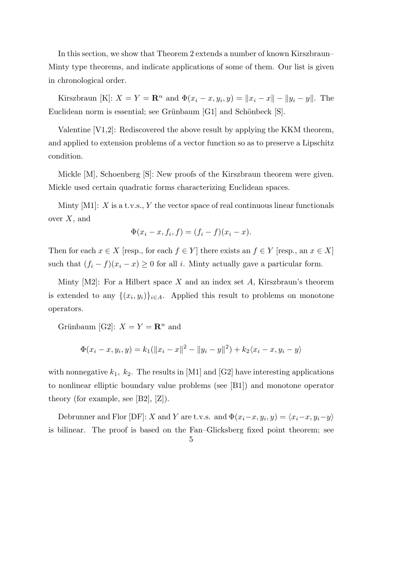In this section, we show that Theorem 2 extends a number of known Kirszbraun– Minty type theorems, and indicate applications of some of them. Our list is given in chronological order.

Kirszbraun [K]:  $X = Y = \mathbb{R}^n$  and  $\Phi(x_i - x, y_i, y) = ||x_i - x|| - ||y_i - y||$ . The Euclidean norm is essential; see Grünbaum [G1] and Schönbeck [S].

Valentine [V1,2]: Rediscovered the above result by applying the KKM theorem, and applied to extension problems of a vector function so as to preserve a Lipschitz condition.

Mickle [M], Schoenberg [S]: New proofs of the Kirszbraun theorem were given. Mickle used certain quadratic forms characterizing Euclidean spaces.

Minty [M1]: *X* is a t.v.s., *Y* the vector space of real continuous linear functionals over *X*, and

$$
\Phi(x_i - x, f_i, f) = (f_i - f)(x_i - x).
$$

Then for each  $x \in X$  [resp., for each  $f \in Y$ ] there exists an  $f \in Y$  [resp., an  $x \in X$ ] such that  $(f_i - f)(x_i - x) \geq 0$  for all *i*. Minty actually gave a particular form.

Minty  $[M2]$ : For a Hilbert space X and an index set A, Kirszbraun's theorem is extended to any  $\{(x_i, y_i)\}_{i \in A}$ . Applied this result to problems on monotone operators.

Grünbaum [G2]:  $X = Y = \mathbb{R}^n$  and

$$
\Phi(x_i - x, y_i, y) = k_1(||x_i - x||^2 - ||y_i - y||^2) + k_2\langle x_i - x, y_i - y \rangle
$$

with nonnegative  $k_1$ ,  $k_2$ . The results in [M1] and [G2] have interesting applications to nonlinear elliptic boundary value problems (see [B1]) and monotone operator theory (for example, see  $[B2], [Z]$ ).

Debrunner and Flor [DF]: *X* and *Y* are t.v.s. and  $\Phi(x_i-x, y_i, y) = \langle x_i-x, y_i-y \rangle$ is bilinear. The proof is based on the Fan–Glicksberg fixed point theorem; see

$$
\overline{5}
$$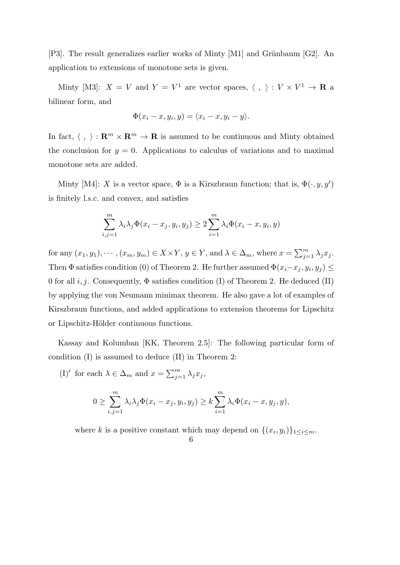[P3]. The result generalizes earlier works of Minty  $[M1]$  and Grünbaum [G2]. An application to extensions of monotone sets is given.

Minty [M3]:  $X = V$  and  $Y = V^1$  are vector spaces,  $\langle , \rangle : V \times V^1 \to \mathbf{R}$  a bilinear form, and

$$
\Phi(x_i-x,y_i,y)=\langle x_i-x,y_i-y\rangle.
$$

In fact,  $\langle , \rangle : \mathbf{R}^m \times \mathbf{R}^m \to \mathbf{R}$  is assumed to be continuous and Minty obtained the conclusion for  $y = 0$ . Applications to calculus of variations and to maximal monotone sets are added.

Minty [M4]: *X* is a vector space,  $\Phi$  is a Kirszbraun function; that is,  $\Phi(\cdot, y, y')$ is finitely l.s.c. and convex, and satisfies

$$
\sum_{i,j=1}^{m} \lambda_i \lambda_j \Phi(x_i - x_j, y_i, y_j) \ge 2 \sum_{i=1}^{m} \lambda_i \Phi(x_i - x, y_i, y)
$$

for any  $(x_1, y_1), \dots, (x_m, y_m) \in X \times Y$ ,  $y \in Y$ , and  $\lambda \in \Delta_m$ , where  $x = \sum_{j=1}^m \lambda_j x_j$ . Then  $\Phi$  satisfies condition (0) of Theorem 2. He further assumed  $\Phi(x_i-x_j, y_i, y_j) \leq$ 0 for all  $i, j$ . Consequently,  $\Phi$  satisfies condition (I) of Theorem 2. He deduced (II) by applying the von Neumann minimax theorem. He also gave a lot of examples of Kirszbraun functions, and added applications to extension theorems for Lipschitz or Lipschitz-Hölder continuous functions.

Kassay and Kolumban [KK, Theorem 2.5]: The following particular form of condition (I) is assumed to deduce (II) in Theorem 2:

(I)<sup>'</sup> for each  $\lambda \in \Delta_m$  and  $x = \sum_{j=1}^m \lambda_j x_j$ ,

$$
0 \geq \sum_{i,j=1}^m \lambda_i \lambda_j \Phi(x_i - x_j, y_i, y_j) \geq k \sum_{i=1}^m \lambda_i \Phi(x_i - x, y_j, y),
$$

where *k* is a positive constant which may depend on  $\{(x_i, y_i)\}_{1 \leq i \leq m}$ .

6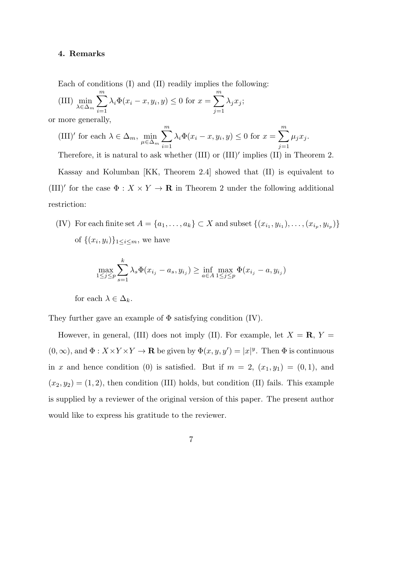### **4. Remarks**

Each of conditions (I) and (II) readily implies the following:

(III) 
$$
\min_{\lambda \in \Delta_m} \sum_{i=1}^m \lambda_i \Phi(x_i - x, y_i, y) \le 0 \text{ for } x = \sum_{j=1}^m \lambda_j x_j;
$$

or more generally,

(III)' for each 
$$
\lambda \in \Delta_m
$$
,  $\min_{\mu \in \Delta_m} \sum_{i=1}^m \lambda_i \Phi(x_i - x, y_i, y) \le 0$  for  $x = \sum_{j=1}^m \mu_j x_j$ .

Therefore, it is natural to ask whether (III) or (III)*′* implies (II) in Theorem 2.

Kassay and Kolumban [KK, Theorem 2.4] showed that (II) is equivalent to (III)<sup>'</sup> for the case  $\Phi: X \times Y \to \mathbf{R}$  in Theorem 2 under the following additional restriction:

(IV) For each finite set  $A = \{a_1, \ldots, a_k\} \subset X$  and subset  $\{(x_{i_1}, y_{i_1}), \ldots, (x_{i_p}, y_{i_p})\}$ of  $\{(x_i, y_i)\}_{1 \leq i \leq m}$ , we have

$$
\max_{1 \le j \le p} \sum_{s=1}^{k} \lambda_s \Phi(x_{i_j} - a_s, y_{i_j}) \ge \inf_{a \in A} \max_{1 \le j \le p} \Phi(x_{i_j} - a, y_{i_j})
$$

for each  $\lambda \in \Delta_k$ .

They further gave an example of  $\Phi$  satisfying condition (IV).

However, in general, (III) does not imply (II). For example, let  $X = \mathbf{R}$ ,  $Y =$  $(0, \infty)$ , and  $\Phi: X \times Y \times Y \to \mathbf{R}$  be given by  $\Phi(x, y, y') = |x|^y$ . Then  $\Phi$  is continuous in *x* and hence condition (0) is satisfied. But if  $m = 2$ ,  $(x_1, y_1) = (0, 1)$ , and  $(x_2, y_2) = (1, 2)$ , then condition (III) holds, but condition (II) fails. This example is supplied by a reviewer of the original version of this paper. The present author would like to express his gratitude to the reviewer.

$$
\mathbf{7}
$$